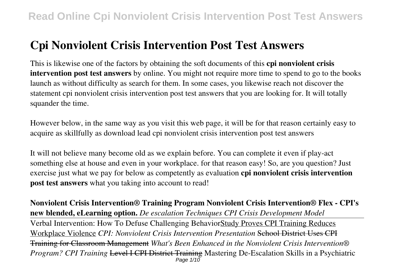# **Cpi Nonviolent Crisis Intervention Post Test Answers**

This is likewise one of the factors by obtaining the soft documents of this **cpi nonviolent crisis intervention post test answers** by online. You might not require more time to spend to go to the books launch as without difficulty as search for them. In some cases, you likewise reach not discover the statement cpi nonviolent crisis intervention post test answers that you are looking for. It will totally squander the time.

However below, in the same way as you visit this web page, it will be for that reason certainly easy to acquire as skillfully as download lead cpi nonviolent crisis intervention post test answers

It will not believe many become old as we explain before. You can complete it even if play-act something else at house and even in your workplace. for that reason easy! So, are you question? Just exercise just what we pay for below as competently as evaluation **cpi nonviolent crisis intervention post test answers** what you taking into account to read!

**Nonviolent Crisis Intervention® Training Program Nonviolent Crisis Intervention® Flex - CPI's new blended, eLearning option.** *De escalation Techniques CPI Crisis Development Model* Verbal Intervention: How To Defuse Challenging BehaviorStudy Proves CPI Training Reduces Workplace Violence *CPI: Nonviolent Crisis Intervention Presentation* School District Uses CPI Training for Classroom Management *What's Been Enhanced in the Nonviolent Crisis Intervention® Program? CPI Training* Level I CPI District Training Mastering De-Escalation Skills in a Psychiatric Page 1/10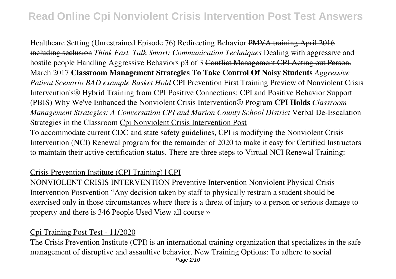Healthcare Setting (Unrestrained Episode 76) Redirecting Behavior PMVA training April 2016 including seclusion *Think Fast, Talk Smart: Communication Techniques* Dealing with aggressive and hostile people Handling Aggressive Behaviors p3 of 3 Conflict Management CPI Acting out Person. March 2017 **Classroom Management Strategies To Take Control Of Noisy Students** *Aggressive Patient Scenario BAD example Basket Hold* CPI Prevention First Training Preview of Nonviolent Crisis Intervention's® Hybrid Training from CPI Positive Connections: CPI and Positive Behavior Support (PBIS) Why We've Enhanced the Nonviolent Crisis Intervention® Program **CPI Holds** *Classroom Management Strategies: A Conversation CPI and Marion County School District* Verbal De-Escalation Strategies in the Classroom Cpi Nonviolent Crisis Intervention Post

To accommodate current CDC and state safety guidelines, CPI is modifying the Nonviolent Crisis Intervention (NCI) Renewal program for the remainder of 2020 to make it easy for Certified Instructors to maintain their active certification status. There are three steps to Virtual NCI Renewal Training:

#### Crisis Prevention Institute (CPI Training) | CPI

NONVIOLENT CRISIS INTERVENTION Preventive Intervention Nonviolent Physical Crisis Intervention Postvention "Any decision taken by staff to physically restrain a student should be exercised only in those circumstances where there is a threat of injury to a person or serious damage to property and there is 346 People Used View all course ››

#### Cpi Training Post Test - 11/2020

The Crisis Prevention Institute (CPI) is an international training organization that specializes in the safe management of disruptive and assaultive behavior. New Training Options: To adhere to social Page 2/10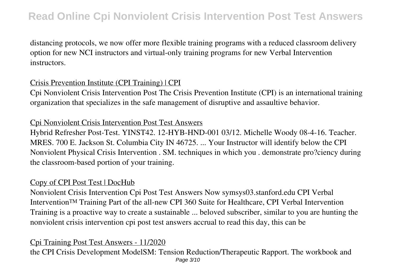distancing protocols, we now offer more flexible training programs with a reduced classroom delivery option for new NCI instructors and virtual-only training programs for new Verbal Intervention instructors.

#### Crisis Prevention Institute (CPI Training) | CPI

Cpi Nonviolent Crisis Intervention Post The Crisis Prevention Institute (CPI) is an international training organization that specializes in the safe management of disruptive and assaultive behavior.

#### Cpi Nonviolent Crisis Intervention Post Test Answers

Hybrid Refresher Post-Test. YINST42. 12-HYB-HND-001 03/12. Michelle Woody 08-4-16. Teacher. MRES. 700 E. Jackson St. Columbia City IN 46725. ... Your Instructor will identify below the CPI Nonviolent Physical Crisis Intervention . SM. techniques in which you . demonstrate pro?ciency during the classroom-based portion of your training.

#### Copy of CPI Post Test | DocHub

Nonviolent Crisis Intervention Cpi Post Test Answers Now symsys03.stanford.edu CPI Verbal Intervention™ Training Part of the all-new CPI 360 Suite for Healthcare, CPI Verbal Intervention Training is a proactive way to create a sustainable ... beloved subscriber, similar to you are hunting the nonviolent crisis intervention cpi post test answers accrual to read this day, this can be

#### Cpi Training Post Test Answers - 11/2020

the CPI Crisis Development ModelSM: Tension Reduction/Therapeutic Rapport. The workbook and Page 3/10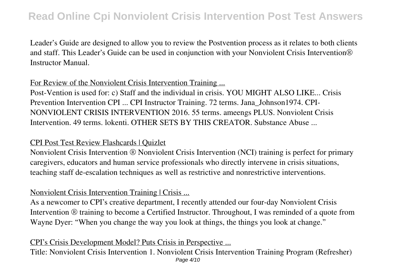Leader's Guide are designed to allow you to review the Postvention process as it relates to both clients and staff. This Leader's Guide can be used in conjunction with your Nonviolent Crisis Intervention® Instructor Manual.

### For Review of the Nonviolent Crisis Intervention Training ...

Post-Vention is used for: c) Staff and the individual in crisis. YOU MIGHT ALSO LIKE... Crisis Prevention Intervention CPI ... CPI Instructor Training. 72 terms. Jana\_Johnson1974. CPI-NONVIOLENT CRISIS INTERVENTION 2016. 55 terms. ameengs PLUS. Nonviolent Crisis Intervention. 49 terms. lokenti. OTHER SETS BY THIS CREATOR. Substance Abuse ...

#### CPI Post Test Review Flashcards | Quizlet

Nonviolent Crisis Intervention ® Nonviolent Crisis Intervention (NCI) training is perfect for primary caregivers, educators and human service professionals who directly intervene in crisis situations, teaching staff de-escalation techniques as well as restrictive and nonrestrictive interventions.

### Nonviolent Crisis Intervention Training | Crisis ...

As a newcomer to CPI's creative department, I recently attended our four-day Nonviolent Crisis Intervention ® training to become a Certified Instructor. Throughout, I was reminded of a quote from Wayne Dyer: "When you change the way you look at things, the things you look at change."

#### CPI's Crisis Development Model? Puts Crisis in Perspective ...

Title: Nonviolent Crisis Intervention 1. Nonviolent Crisis Intervention Training Program (Refresher) Page 4/10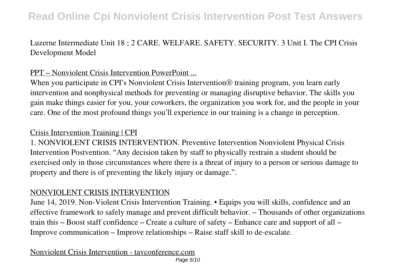Luzerne Intermediate Unit 18 ; 2 CARE. WELFARE. SAFETY. SECURITY. 3 Unit I. The CPI Crisis Development Model

### PPT – Nonviolent Crisis Intervention PowerPoint ...

When you participate in CPI's Nonviolent Crisis Intervention<sup>®</sup> training program, you learn early intervention and nonphysical methods for preventing or managing disruptive behavior. The skills you gain make things easier for you, your coworkers, the organization you work for, and the people in your care. One of the most profound things you'll experience in our training is a change in perception.

### Crisis Intervention Training | CPI

1. NONVIOLENT CRISIS INTERVENTION. Preventive Intervention Nonviolent Physical Crisis Intervention Postvention. "Any decision taken by staff to physically restrain a student should be exercised only in those circumstances where there is a threat of injury to a person or serious damage to property and there is of preventing the likely injury or damage.".

#### NONVIOLENT CRISIS INTERVENTION

June 14, 2019. Non-Violent Crisis Intervention Training. • Equips you will skills, confidence and an effective framework to safely manage and prevent difficult behavior. – Thousands of other organizations train this – Boost staff confidence – Create a culture of safety – Enhance care and support of all – Improve communication – Improve relationships – Raise staff skill to de-escalate.

Nonviolent Crisis Intervention - tavconference.com Page 5/10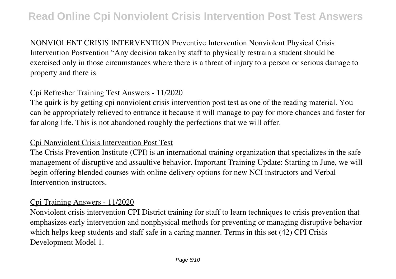NONVIOLENT CRISIS INTERVENTION Preventive Intervention Nonviolent Physical Crisis Intervention Postvention "Any decision taken by staff to physically restrain a student should be exercised only in those circumstances where there is a threat of injury to a person or serious damage to property and there is

### Cpi Refresher Training Test Answers - 11/2020

The quirk is by getting cpi nonviolent crisis intervention post test as one of the reading material. You can be appropriately relieved to entrance it because it will manage to pay for more chances and foster for far along life. This is not abandoned roughly the perfections that we will offer.

#### Cpi Nonviolent Crisis Intervention Post Test

The Crisis Prevention Institute (CPI) is an international training organization that specializes in the safe management of disruptive and assaultive behavior. Important Training Update: Starting in June, we will begin offering blended courses with online delivery options for new NCI instructors and Verbal Intervention instructors.

#### Cpi Training Answers - 11/2020

Nonviolent crisis intervention CPI District training for staff to learn techniques to crisis prevention that emphasizes early intervention and nonphysical methods for preventing or managing disruptive behavior which helps keep students and staff safe in a caring manner. Terms in this set (42) CPI Crisis Development Model 1.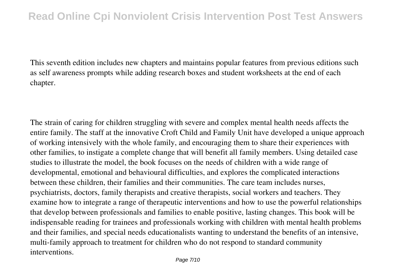This seventh edition includes new chapters and maintains popular features from previous editions such as self awareness prompts while adding research boxes and student worksheets at the end of each chapter.

The strain of caring for children struggling with severe and complex mental health needs affects the entire family. The staff at the innovative Croft Child and Family Unit have developed a unique approach of working intensively with the whole family, and encouraging them to share their experiences with other families, to instigate a complete change that will benefit all family members. Using detailed case studies to illustrate the model, the book focuses on the needs of children with a wide range of developmental, emotional and behavioural difficulties, and explores the complicated interactions between these children, their families and their communities. The care team includes nurses, psychiatrists, doctors, family therapists and creative therapists, social workers and teachers. They examine how to integrate a range of therapeutic interventions and how to use the powerful relationships that develop between professionals and families to enable positive, lasting changes. This book will be indispensable reading for trainees and professionals working with children with mental health problems and their families, and special needs educationalists wanting to understand the benefits of an intensive, multi-family approach to treatment for children who do not respond to standard community interventions.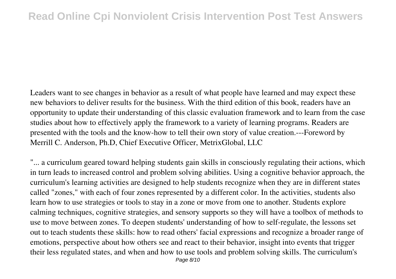Leaders want to see changes in behavior as a result of what people have learned and may expect these new behaviors to deliver results for the business. With the third edition of this book, readers have an opportunity to update their understanding of this classic evaluation framework and to learn from the case studies about how to effectively apply the framework to a variety of learning programs. Readers are presented with the tools and the know-how to tell their own story of value creation.---Foreword by Merrill C. Anderson, Ph.D, Chief Executive Officer, MetrixGlobal, LLC

"... a curriculum geared toward helping students gain skills in consciously regulating their actions, which in turn leads to increased control and problem solving abilities. Using a cognitive behavior approach, the curriculum's learning activities are designed to help students recognize when they are in different states called "zones," with each of four zones represented by a different color. In the activities, students also learn how to use strategies or tools to stay in a zone or move from one to another. Students explore calming techniques, cognitive strategies, and sensory supports so they will have a toolbox of methods to use to move between zones. To deepen students' understanding of how to self-regulate, the lessons set out to teach students these skills: how to read others' facial expressions and recognize a broader range of emotions, perspective about how others see and react to their behavior, insight into events that trigger their less regulated states, and when and how to use tools and problem solving skills. The curriculum's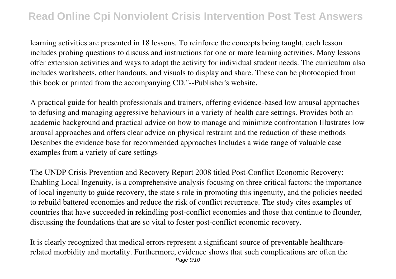learning activities are presented in 18 lessons. To reinforce the concepts being taught, each lesson includes probing questions to discuss and instructions for one or more learning activities. Many lessons offer extension activities and ways to adapt the activity for individual student needs. The curriculum also includes worksheets, other handouts, and visuals to display and share. These can be photocopied from this book or printed from the accompanying CD."--Publisher's website.

A practical guide for health professionals and trainers, offering evidence-based low arousal approaches to defusing and managing aggressive behaviours in a variety of health care settings. Provides both an academic background and practical advice on how to manage and minimize confrontation Illustrates low arousal approaches and offers clear advice on physical restraint and the reduction of these methods Describes the evidence base for recommended approaches Includes a wide range of valuable case examples from a variety of care settings

The UNDP Crisis Prevention and Recovery Report 2008 titled Post-Conflict Economic Recovery: Enabling Local Ingenuity, is a comprehensive analysis focusing on three critical factors: the importance of local ingenuity to guide recovery, the state s role in promoting this ingenuity, and the policies needed to rebuild battered economies and reduce the risk of conflict recurrence. The study cites examples of countries that have succeeded in rekindling post-conflict economies and those that continue to flounder, discussing the foundations that are so vital to foster post-conflict economic recovery.

It is clearly recognized that medical errors represent a significant source of preventable healthcarerelated morbidity and mortality. Furthermore, evidence shows that such complications are often the Page 9/10